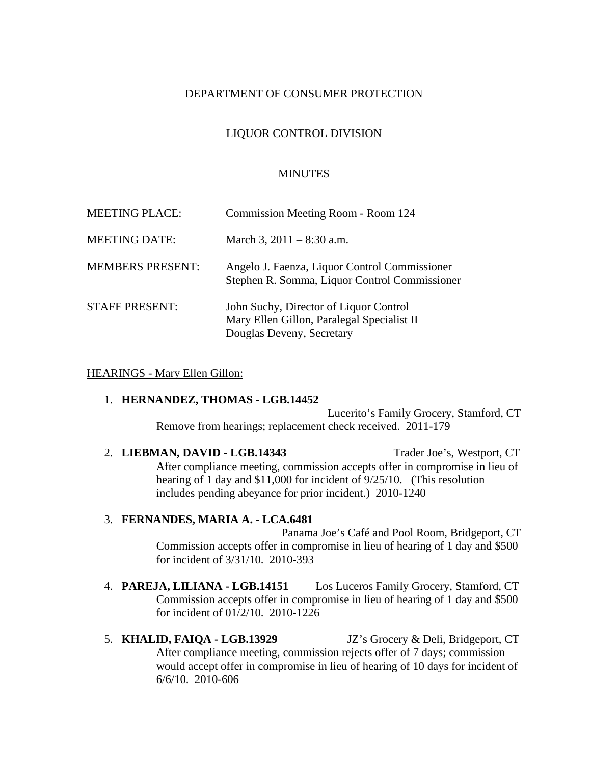### DEPARTMENT OF CONSUMER PROTECTION

## LIQUOR CONTROL DIVISION

#### MINUTES

| <b>MEETING PLACE:</b>   | Commission Meeting Room - Room 124                                                                                |
|-------------------------|-------------------------------------------------------------------------------------------------------------------|
| <b>MEETING DATE:</b>    | March 3, $2011 - 8:30$ a.m.                                                                                       |
| <b>MEMBERS PRESENT:</b> | Angelo J. Faenza, Liquor Control Commissioner<br>Stephen R. Somma, Liquor Control Commissioner                    |
| <b>STAFF PRESENT:</b>   | John Suchy, Director of Liquor Control<br>Mary Ellen Gillon, Paralegal Specialist II<br>Douglas Deveny, Secretary |

#### HEARINGS - Mary Ellen Gillon:

#### 1. **HERNANDEZ, THOMAS - LGB.14452**

Lucerito's Family Grocery, Stamford, CT Remove from hearings; replacement check received. 2011-179

2. **LIEBMAN, DAVID - LGB.14343** Trader Joe's, Westport, CT After compliance meeting, commission accepts offer in compromise in lieu of hearing of 1 day and \$11,000 for incident of 9/25/10. (This resolution includes pending abeyance for prior incident.) 2010-1240

#### 3. **FERNANDES, MARIA A. - LCA.6481**

Panama Joe's Café and Pool Room, Bridgeport, CT Commission accepts offer in compromise in lieu of hearing of 1 day and \$500 for incident of 3/31/10. 2010-393

- 4. **PAREJA, LILIANA LGB.14151** Los Luceros Family Grocery, Stamford, CT Commission accepts offer in compromise in lieu of hearing of 1 day and \$500 for incident of 01/2/10. 2010-1226
- 5. **KHALID, FAIQA LGB.13929** JZ's Grocery & Deli, Bridgeport, CT After compliance meeting, commission rejects offer of 7 days; commission would accept offer in compromise in lieu of hearing of 10 days for incident of 6/6/10. 2010-606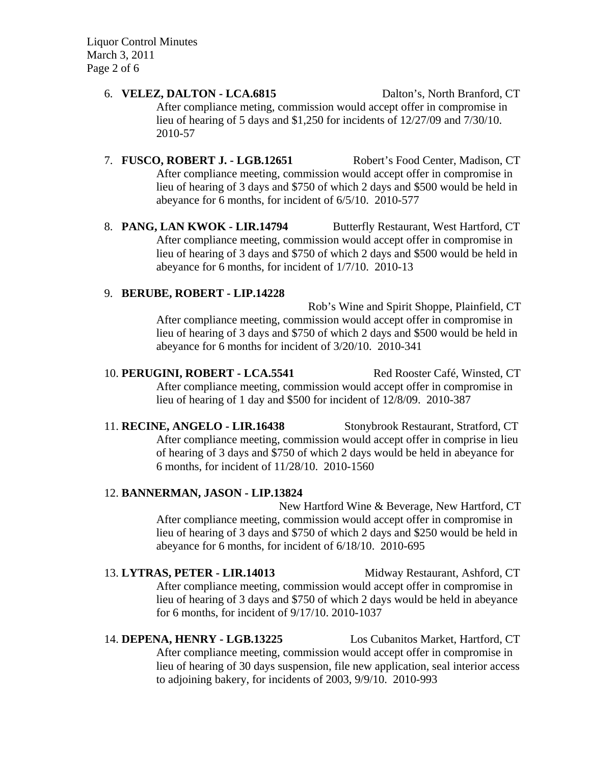Liquor Control Minutes March 3, 2011 Page 2 of 6

#### 6. **VELEZ, DALTON - LCA.6815** Dalton's, North Branford, CT

After compliance meting, commission would accept offer in compromise in lieu of hearing of 5 days and \$1,250 for incidents of 12/27/09 and 7/30/10. 2010-57

## 7. **FUSCO, ROBERT J. - LGB.12651** Robert's Food Center, Madison, CT After compliance meeting, commission would accept offer in compromise in lieu of hearing of 3 days and \$750 of which 2 days and \$500 would be held in abeyance for 6 months, for incident of 6/5/10. 2010-577

8. **PANG, LAN KWOK - LIR.14794** Butterfly Restaurant, West Hartford, CT After compliance meeting, commission would accept offer in compromise in lieu of hearing of 3 days and \$750 of which 2 days and \$500 would be held in abeyance for 6 months, for incident of 1/7/10. 2010-13

### 9. **BERUBE, ROBERT - LIP.14228**

Rob's Wine and Spirit Shoppe, Plainfield, CT After compliance meeting, commission would accept offer in compromise in lieu of hearing of 3 days and \$750 of which 2 days and \$500 would be held in abeyance for 6 months for incident of 3/20/10. 2010-341

# 10. **PERUGINI, ROBERT - LCA.5541** Red Rooster Café, Winsted, CT After compliance meeting, commission would accept offer in compromise in lieu of hearing of 1 day and \$500 for incident of 12/8/09. 2010-387

11. **RECINE, ANGELO - LIR.16438** Stonybrook Restaurant, Stratford, CT After compliance meeting, commission would accept offer in comprise in lieu of hearing of 3 days and \$750 of which 2 days would be held in abeyance for 6 months, for incident of 11/28/10. 2010-1560

## 12. **BANNERMAN, JASON - LIP.13824**

New Hartford Wine & Beverage, New Hartford, CT After compliance meeting, commission would accept offer in compromise in lieu of hearing of 3 days and \$750 of which 2 days and \$250 would be held in abeyance for 6 months, for incident of 6/18/10. 2010-695

# 13. **LYTRAS, PETER - LIR.14013** Midway Restaurant, Ashford, CT After compliance meeting, commission would accept offer in compromise in lieu of hearing of 3 days and \$750 of which 2 days would be held in abeyance for 6 months, for incident of 9/17/10. 2010-1037

14. **DEPENA, HENRY - LGB.13225** Los Cubanitos Market, Hartford, CT After compliance meeting, commission would accept offer in compromise in lieu of hearing of 30 days suspension, file new application, seal interior access to adjoining bakery, for incidents of 2003, 9/9/10. 2010-993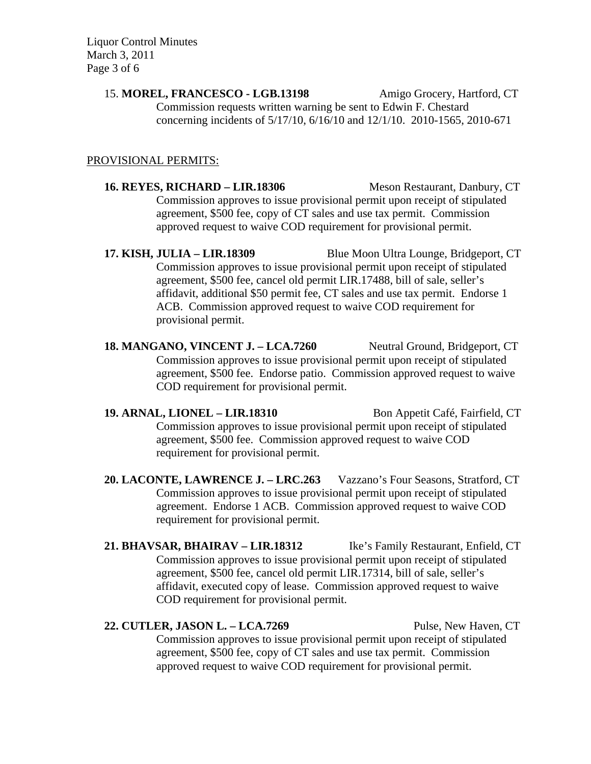Liquor Control Minutes March 3, 2011 Page 3 of 6

> 15. **MOREL, FRANCESCO - LGB.13198** Amigo Grocery, Hartford, CT Commission requests written warning be sent to Edwin F. Chestard concerning incidents of 5/17/10, 6/16/10 and 12/1/10. 2010-1565, 2010-671

### PROVISIONAL PERMITS:

**16. REYES, RICHARD – LIR.18306** Meson Restaurant, Danbury, CT Commission approves to issue provisional permit upon receipt of stipulated agreement, \$500 fee, copy of CT sales and use tax permit. Commission approved request to waive COD requirement for provisional permit.

**17. KISH, JULIA – LIR.18309** Blue Moon Ultra Lounge, Bridgeport, CT Commission approves to issue provisional permit upon receipt of stipulated agreement, \$500 fee, cancel old permit LIR.17488, bill of sale, seller's affidavit, additional \$50 permit fee, CT sales and use tax permit. Endorse 1 ACB. Commission approved request to waive COD requirement for provisional permit.

18. **MANGANO, VINCENT J. – LCA.7260** Neutral Ground, Bridgeport, CT Commission approves to issue provisional permit upon receipt of stipulated agreement, \$500 fee. Endorse patio. Commission approved request to waive COD requirement for provisional permit.

**19. ARNAL, LIONEL – LIR.18310** Bon Appetit Café, Fairfield, CT Commission approves to issue provisional permit upon receipt of stipulated agreement, \$500 fee. Commission approved request to waive COD requirement for provisional permit.

**20. LACONTE, LAWRENCE J. – LRC.263** Vazzano's Four Seasons, Stratford, CT Commission approves to issue provisional permit upon receipt of stipulated agreement. Endorse 1 ACB. Commission approved request to waive COD requirement for provisional permit.

**21. BHAVSAR, BHAIRAV – LIR.18312** Ike's Family Restaurant, Enfield, CT Commission approves to issue provisional permit upon receipt of stipulated agreement, \$500 fee, cancel old permit LIR.17314, bill of sale, seller's affidavit, executed copy of lease. Commission approved request to waive COD requirement for provisional permit.

### **22. CUTLER, JASON L. – LCA.7269** Pulse, New Haven, CT

Commission approves to issue provisional permit upon receipt of stipulated agreement, \$500 fee, copy of CT sales and use tax permit. Commission approved request to waive COD requirement for provisional permit.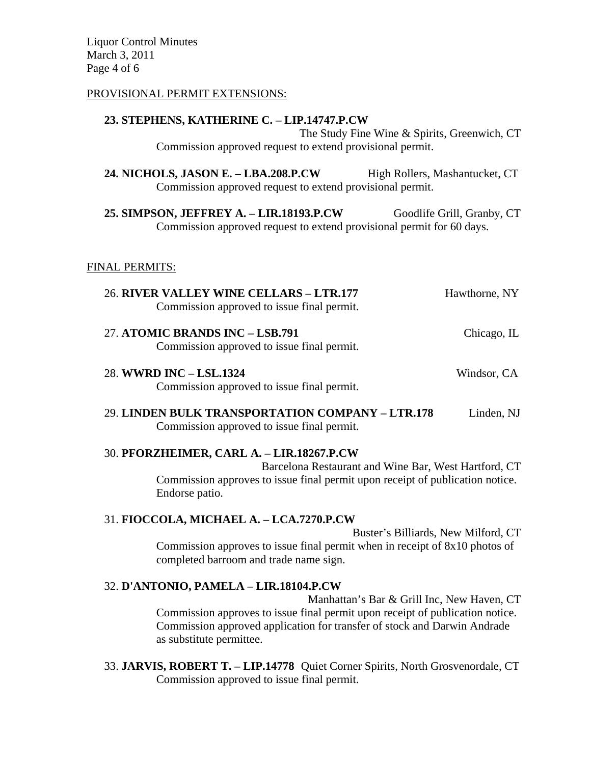Liquor Control Minutes March 3, 2011 Page 4 of 6

#### PROVISIONAL PERMIT EXTENSIONS:

#### **23. STEPHENS, KATHERINE C. – LIP.14747.P.CW**

The Study Fine Wine & Spirits, Greenwich, CT Commission approved request to extend provisional permit.

**24. NICHOLS, JASON E. – LBA.208.P.CW** High Rollers, Mashantucket, CT Commission approved request to extend provisional permit.

25. **SIMPSON, JEFFREY A. – LIR.18193.P.CW** Goodlife Grill, Granby, CT Commission approved request to extend provisional permit for 60 days.

#### FINAL PERMITS:

| 26. RIVER VALLEY WINE CELLARS - LTR.177    | Hawthorne, NY |
|--------------------------------------------|---------------|
| Commission approved to issue final permit. |               |
|                                            |               |

- 27. **ATOMIC BRANDS INC LSB.791** Chicago, IL Commission approved to issue final permit.
- 28. **WWRD INC LSL.1324** Windsor, CA Commission approved to issue final permit.
- 29. **LINDEN BULK TRANSPORTATION COMPANY LTR.178** Linden, NJ Commission approved to issue final permit.

#### 30. **PFORZHEIMER, CARL A. – LIR.18267.P.CW**

Barcelona Restaurant and Wine Bar, West Hartford, CT Commission approves to issue final permit upon receipt of publication notice. Endorse patio.

### 31. **FIOCCOLA, MICHAEL A. – LCA.7270.P.CW**

Buster's Billiards, New Milford, CT Commission approves to issue final permit when in receipt of 8x10 photos of completed barroom and trade name sign.

### 32. **D'ANTONIO, PAMELA – LIR.18104.P.CW**

Manhattan's Bar & Grill Inc, New Haven, CT Commission approves to issue final permit upon receipt of publication notice. Commission approved application for transfer of stock and Darwin Andrade as substitute permittee.

33. **JARVIS, ROBERT T. – LIP.14778** Quiet Corner Spirits, North Grosvenordale, CT Commission approved to issue final permit.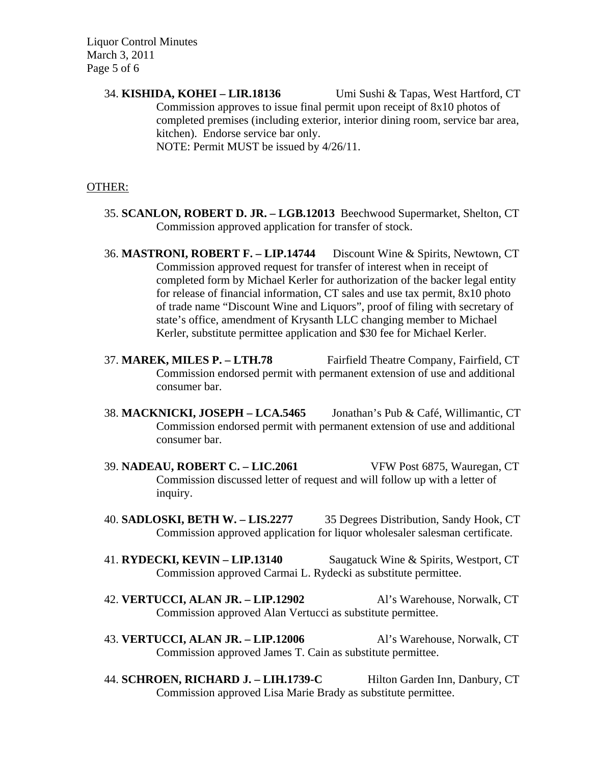Liquor Control Minutes March 3, 2011 Page 5 of 6

> 34. **KISHIDA, KOHEI – LIR.18136** Umi Sushi & Tapas, West Hartford, CT Commission approves to issue final permit upon receipt of 8x10 photos of completed premises (including exterior, interior dining room, service bar area, kitchen). Endorse service bar only. NOTE: Permit MUST be issued by 4/26/11.

#### OTHER:

- 35. **SCANLON, ROBERT D. JR. LGB.12013** Beechwood Supermarket, Shelton, CT Commission approved application for transfer of stock.
- 36. **MASTRONI, ROBERT F. LIP.14744** Discount Wine & Spirits, Newtown, CT Commission approved request for transfer of interest when in receipt of completed form by Michael Kerler for authorization of the backer legal entity for release of financial information, CT sales and use tax permit, 8x10 photo of trade name "Discount Wine and Liquors", proof of filing with secretary of state's office, amendment of Krysanth LLC changing member to Michael Kerler, substitute permittee application and \$30 fee for Michael Kerler.
- 37. **MAREK, MILES P. LTH.78** Fairfield Theatre Company, Fairfield, CT Commission endorsed permit with permanent extension of use and additional consumer bar.
- 38. **MACKNICKI, JOSEPH LCA.5465** Jonathan's Pub & Café, Willimantic, CT Commission endorsed permit with permanent extension of use and additional consumer bar.
- 39. **NADEAU, ROBERT C. LIC.2061** VFW Post 6875, Wauregan, CT Commission discussed letter of request and will follow up with a letter of inquiry.
- 40. **SADLOSKI, BETH W. LIS.2277** 35 Degrees Distribution, Sandy Hook, CT Commission approved application for liquor wholesaler salesman certificate.
- 41. **RYDECKI, KEVIN LIP.13140** Saugatuck Wine & Spirits, Westport, CT Commission approved Carmai L. Rydecki as substitute permittee.
- 42. **VERTUCCI, ALAN JR. LIP.12902** Al's Warehouse, Norwalk, CT Commission approved Alan Vertucci as substitute permittee.
- 43. **VERTUCCI, ALAN JR. LIP.12006** Al's Warehouse, Norwalk, CT Commission approved James T. Cain as substitute permittee.
- 44. **SCHROEN, RICHARD J. LIH.1739-C** Hilton Garden Inn, Danbury, CT Commission approved Lisa Marie Brady as substitute permittee.